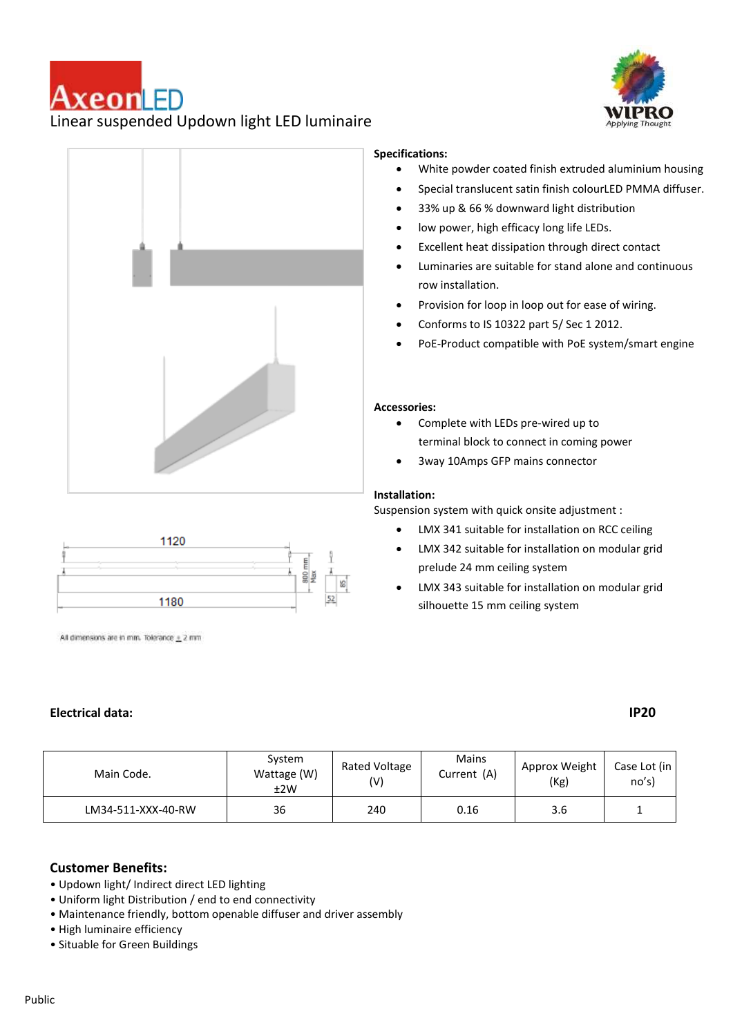# AxeonLED Linear suspended Updown light LED luminaire





### 1120  $\frac{8}{2}$  $52$ 1180

All dimensions are in mm. Tolerance  $\pm$  2 mm

### **Electrical data: IP20**

### **Specifications:**

- White powder coated finish extruded aluminium housing
- Special translucent satin finish colourLED PMMA diffuser.
- 33% up & 66 % downward light distribution
- low power, high efficacy long life LEDs.
- Excellent heat dissipation through direct contact
- Luminaries are suitable for stand alone and continuous row installation.
- Provision for loop in loop out for ease of wiring.
- Conforms to IS 10322 part 5/ Sec 1 2012.
- PoE-Product compatible with PoE system/smart engine

#### **Accessories::**

- Complete with LEDs pre-wired up to terminal block to connect in coming power
- 3way 10Amps GFP mains connector

### **Installation:**

Suspension system with quick onsite adjustment :

- LMX 341 suitable for installation on RCC ceiling
- LMX 342 suitable for installation on modular grid prelude 24 mm ceiling system
- LMX 343 suitable for installation on modular grid silhouette 15 mm ceiling system

| Main Code.         | System<br>Wattage (W)<br>±2W | Rated Voltage<br>(V) | Mains<br>Current (A) | Approx Weight<br>(Kg) | Case Lot (in I<br>no's) |
|--------------------|------------------------------|----------------------|----------------------|-----------------------|-------------------------|
| LM34-511-XXX-40-RW | 36                           | 240                  | 0.16                 | 3.6                   |                         |

### **Customer Benefits:**

- Updown light/ Indirect direct LED lighting
- Uniform light Distribution / end to end connectivity
- Maintenance friendly, bottom openable diffuser and driver assembly
- High luminaire efficiency
- Situable for Green Buildings